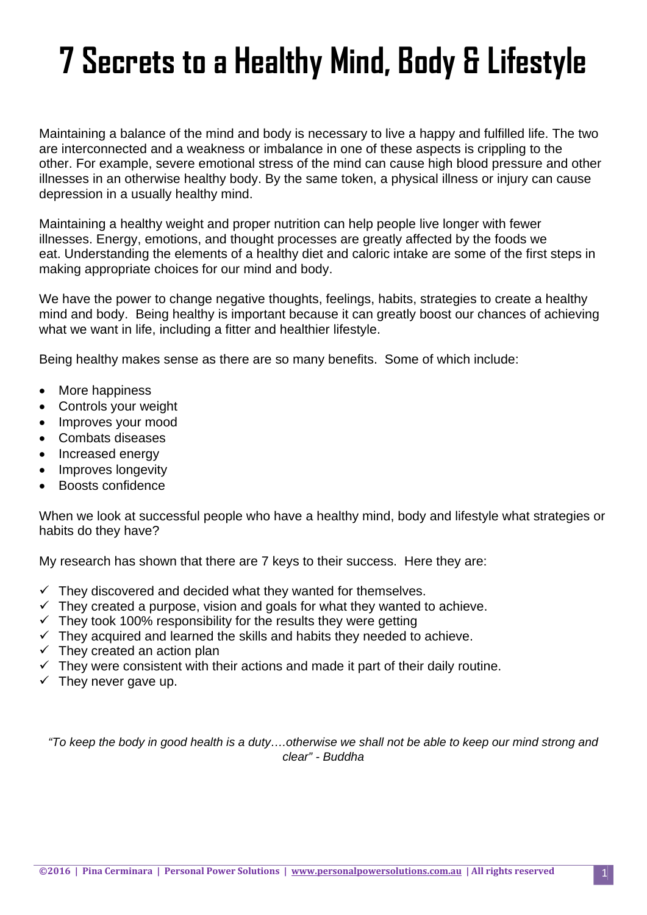# **7 Secrets to a Healthy Mind, Body & Lifestyle**

Maintaining a balance of the mind and body is necessary to live a happy and fulfilled life. The two are interconnected and a weakness or imbalance in one of these aspects is crippling to the other. For example, severe emotional stress of the mind can cause high blood pressure and other illnesses in an otherwise healthy body. By the same token, a physical illness or injury can cause depression in a usually healthy mind.

Maintaining a healthy weight and proper nutrition can help people live longer with fewer illnesses. Energy, emotions, and thought processes are greatly affected by the foods we eat. Understanding the elements of a healthy diet and caloric intake are some of the first steps in making appropriate choices for our mind and body.

We have the power to change negative thoughts, feelings, habits, strategies to create a healthy mind and body. Being healthy is important because it can greatly boost our chances of achieving what we want in life, including a fitter and healthier lifestyle.

Being healthy makes sense as there are so many benefits. Some of which include:

- More happiness
- Controls your weight
- Improves your mood
- Combats diseases
- Increased energy
- Improves longevity
- Boosts confidence

When we look at successful people who have a healthy mind, body and lifestyle what strategies or habits do they have?

My research has shown that there are 7 keys to their success. Here they are:

- $\checkmark$  They discovered and decided what they wanted for themselves.
- $\checkmark$  They created a purpose, vision and goals for what they wanted to achieve.
- $\checkmark$  They took 100% responsibility for the results they were getting
- $\checkmark$  They acquired and learned the skills and habits they needed to achieve.
- $\checkmark$  They created an action plan
- $\checkmark$  They were consistent with their actions and made it part of their daily routine.
- $\checkmark$  They never gave up.

*"To keep the body in good health is a duty….otherwise we shall not be able to keep our mind strong and clear" - Buddha*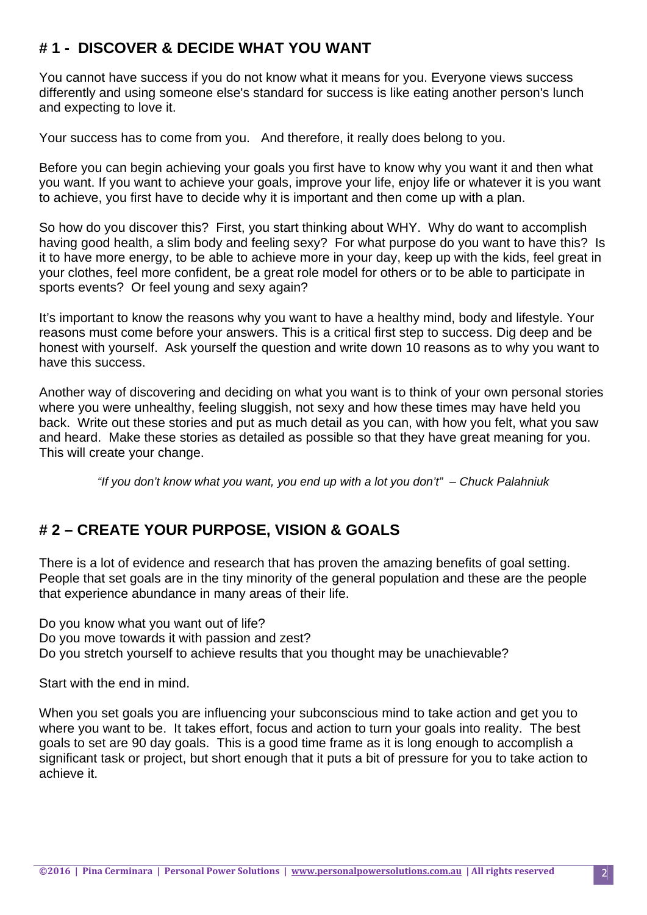## **# 1 - DISCOVER & DECIDE WHAT YOU WANT**

You cannot have success if you do not know what it means for you. Everyone views success differently and using someone else's standard for success is like eating another person's lunch and expecting to love it.

Your success has to come from you. And therefore, it really does belong to you.

Before you can begin achieving your goals you first have to know why you want it and then what you want. If you want to achieve your goals, improve your life, enjoy life or whatever it is you want to achieve, you first have to decide why it is important and then come up with a plan.

So how do you discover this? First, you start thinking about WHY. Why do want to accomplish having good health, a slim body and feeling sexy? For what purpose do you want to have this? Is it to have more energy, to be able to achieve more in your day, keep up with the kids, feel great in your clothes, feel more confident, be a great role model for others or to be able to participate in sports events? Or feel young and sexy again?

It's important to know the reasons why you want to have a healthy mind, body and lifestyle. Your reasons must come before your answers. This is a critical first step to success. Dig deep and be honest with yourself. Ask yourself the question and write down 10 reasons as to why you want to have this success.

Another way of discovering and deciding on what you want is to think of your own personal stories where you were unhealthy, feeling sluggish, not sexy and how these times may have held you back. Write out these stories and put as much detail as you can, with how you felt, what you saw and heard. Make these stories as detailed as possible so that they have great meaning for you. This will create your change.

*"If you don't know what you want, you end up with a lot you don't" – Chuck Palahniuk*

## **# 2 – CREATE YOUR PURPOSE, VISION & GOALS**

There is a lot of evidence and research that has proven the amazing benefits of goal setting. People that set goals are in the tiny minority of the general population and these are the people that experience abundance in many areas of their life.

Do you know what you want out of life? Do you move towards it with passion and zest? Do you stretch yourself to achieve results that you thought may be unachievable?

Start with the end in mind.

When you set goals you are influencing your subconscious mind to take action and get you to where you want to be. It takes effort, focus and action to turn your goals into reality. The best goals to set are 90 day goals. This is a good time frame as it is long enough to accomplish a significant task or project, but short enough that it puts a bit of pressure for you to take action to achieve it.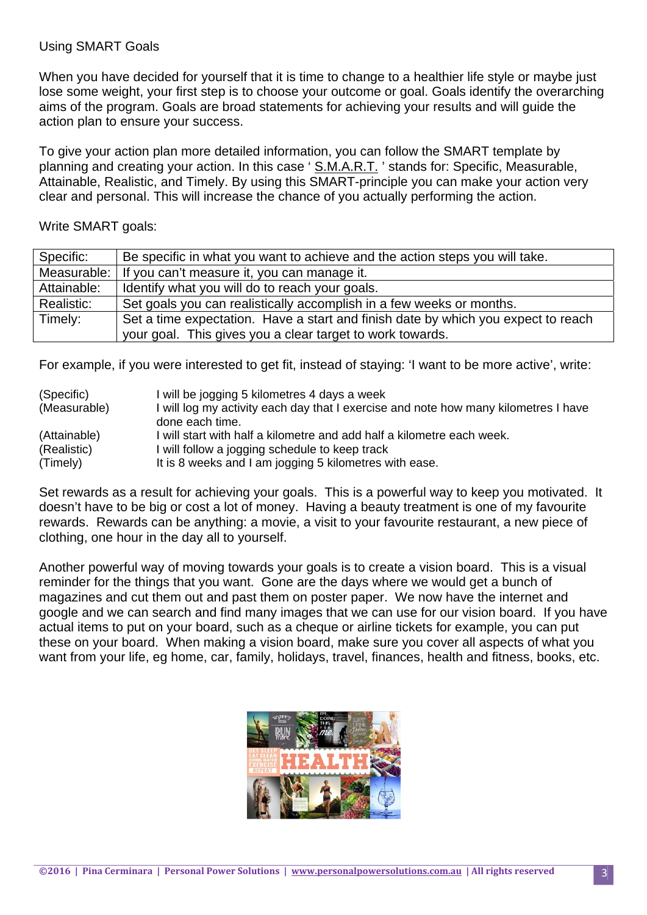#### Using SMART Goals

When you have decided for yourself that it is time to change to a healthier life style or maybe just lose some weight, your first step is to choose your outcome or goal. Goals identify the overarching aims of the program. Goals are broad statements for achieving your results and will guide the action plan to ensure your success.

To give your action plan more detailed information, you can follow the SMART template by planning and creating your action. In this case ' S.M.A.R.T. ' stands for: Specific, Measurable, Attainable, Realistic, and Timely. By using this SMART-principle you can make your action very clear and personal. This will increase the chance of you actually performing the action.

Write SMART goals:

| Specific:   | Be specific in what you want to achieve and the action steps you will take.       |
|-------------|-----------------------------------------------------------------------------------|
| Measurable: | If you can't measure it, you can manage it.                                       |
| Attainable: | Identify what you will do to reach your goals.                                    |
| Realistic:  | Set goals you can realistically accomplish in a few weeks or months.              |
| Timely:     | Set a time expectation. Have a start and finish date by which you expect to reach |
|             | your goal. This gives you a clear target to work towards.                         |

For example, if you were interested to get fit, instead of staying: 'I want to be more active', write:

| (Specific)   | I will be jogging 5 kilometres 4 days a week                                        |
|--------------|-------------------------------------------------------------------------------------|
| (Measurable) | I will log my activity each day that I exercise and note how many kilometres I have |
|              | done each time.                                                                     |
| (Attainable) | I will start with half a kilometre and add half a kilometre each week.              |
| (Realistic)  | I will follow a jogging schedule to keep track                                      |
| (Timely)     | It is 8 weeks and I am jogging 5 kilometres with ease.                              |

Set rewards as a result for achieving your goals. This is a powerful way to keep you motivated. It doesn't have to be big or cost a lot of money. Having a beauty treatment is one of my favourite rewards. Rewards can be anything: a movie, a visit to your favourite restaurant, a new piece of clothing, one hour in the day all to yourself.

Another powerful way of moving towards your goals is to create a vision board. This is a visual reminder for the things that you want. Gone are the days where we would get a bunch of magazines and cut them out and past them on poster paper. We now have the internet and google and we can search and find many images that we can use for our vision board. If you have actual items to put on your board, such as a cheque or airline tickets for example, you can put these on your board. When making a vision board, make sure you cover all aspects of what you want from your life, eg home, car, family, holidays, travel, finances, health and fitness, books, etc.

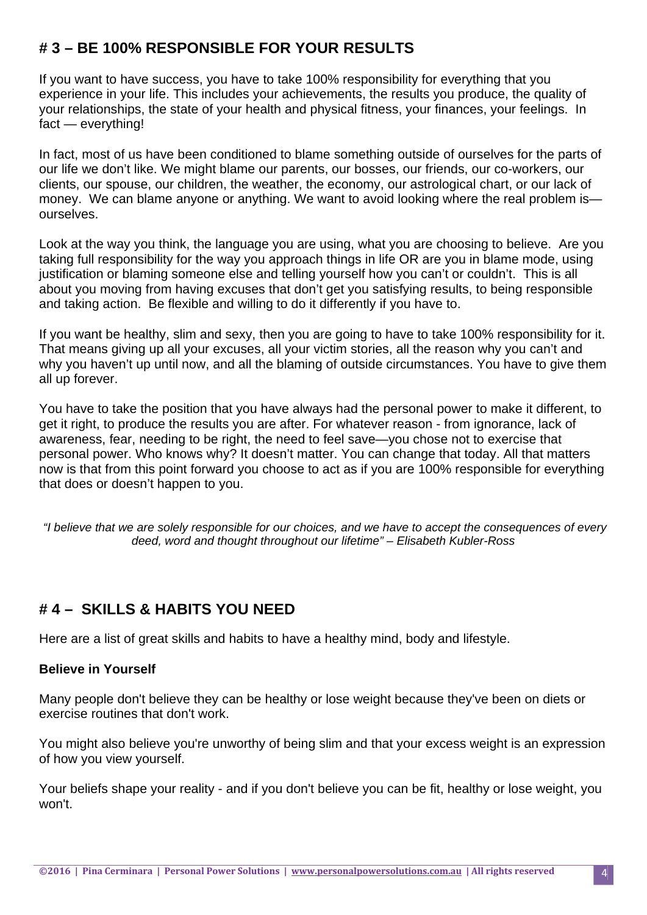## **# 3 – BE 100% RESPONSIBLE FOR YOUR RESULTS**

If you want to have success, you have to take 100% responsibility for everything that you experience in your life. This includes your achievements, the results you produce, the quality of your relationships, the state of your health and physical fitness, your finances, your feelings. In fact — everything!

In fact, most of us have been conditioned to blame something outside of ourselves for the parts of our life we don't like. We might blame our parents, our bosses, our friends, our co-workers, our clients, our spouse, our children, the weather, the economy, our astrological chart, or our lack of money. We can blame anyone or anything. We want to avoid looking where the real problem is ourselves.

Look at the way you think, the language you are using, what you are choosing to believe. Are you taking full responsibility for the way you approach things in life OR are you in blame mode, using justification or blaming someone else and telling yourself how you can't or couldn't. This is all about you moving from having excuses that don't get you satisfying results, to being responsible and taking action. Be flexible and willing to do it differently if you have to.

If you want be healthy, slim and sexy, then you are going to have to take 100% responsibility for it. That means giving up all your excuses, all your victim stories, all the reason why you can't and why you haven't up until now, and all the blaming of outside circumstances. You have to give them all up forever.

You have to take the position that you have always had the personal power to make it different, to get it right, to produce the results you are after. For whatever reason - from ignorance, lack of awareness, fear, needing to be right, the need to feel save—you chose not to exercise that personal power. Who knows why? It doesn't matter. You can change that today. All that matters now is that from this point forward you choose to act as if you are 100% responsible for everything that does or doesn't happen to you.

*"I believe that we are solely responsible for our choices, and we have to accept the consequences of every deed, word and thought throughout our lifetime" – Elisabeth Kubler-Ross* 

# **# 4 – SKILLS & HABITS YOU NEED**

Here are a list of great skills and habits to have a healthy mind, body and lifestyle.

#### **Believe in Yourself**

Many people don't believe they can be healthy or lose weight because they've been on diets or exercise routines that don't work.

You might also believe you're unworthy of being slim and that your excess weight is an expression of how you view yourself.

Your beliefs shape your reality - and if you don't believe you can be fit, healthy or lose weight, you won't.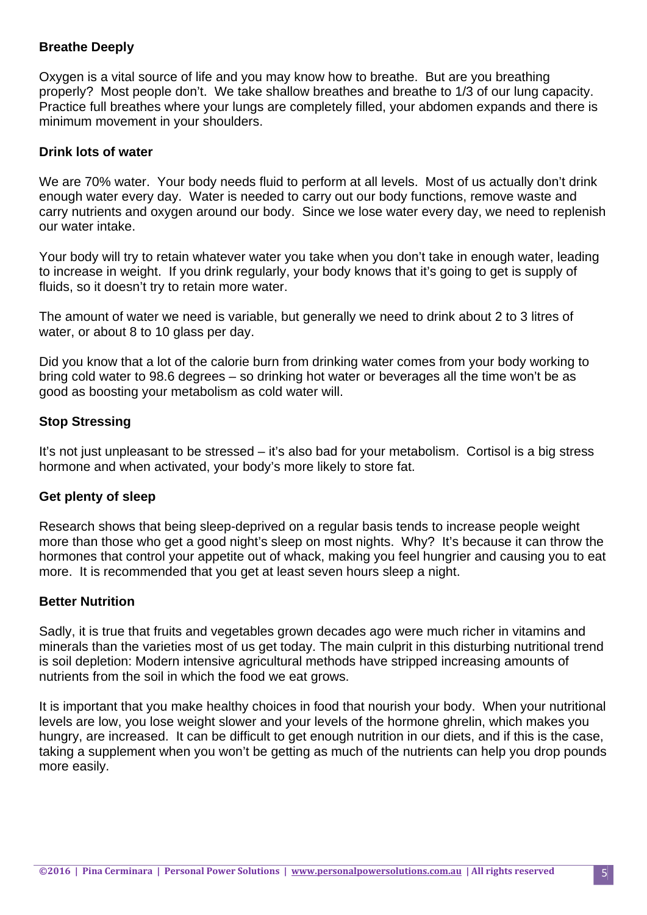#### **Breathe Deeply**

Oxygen is a vital source of life and you may know how to breathe. But are you breathing properly? Most people don't. We take shallow breathes and breathe to 1/3 of our lung capacity. Practice full breathes where your lungs are completely filled, your abdomen expands and there is minimum movement in your shoulders.

#### **Drink lots of water**

We are 70% water. Your body needs fluid to perform at all levels. Most of us actually don't drink enough water every day. Water is needed to carry out our body functions, remove waste and carry nutrients and oxygen around our body. Since we lose water every day, we need to replenish our water intake.

Your body will try to retain whatever water you take when you don't take in enough water, leading to increase in weight. If you drink regularly, your body knows that it's going to get is supply of fluids, so it doesn't try to retain more water.

The amount of water we need is variable, but generally we need to drink about 2 to 3 litres of water, or about 8 to 10 glass per day.

Did you know that a lot of the calorie burn from drinking water comes from your body working to bring cold water to 98.6 degrees – so drinking hot water or beverages all the time won't be as good as boosting your metabolism as cold water will.

#### **Stop Stressing**

It's not just unpleasant to be stressed – it's also bad for your metabolism. Cortisol is a big stress hormone and when activated, your body's more likely to store fat.

#### **Get plenty of sleep**

Research shows that being sleep-deprived on a regular basis tends to increase people weight more than those who get a good night's sleep on most nights. Why? It's because it can throw the hormones that control your appetite out of whack, making you feel hungrier and causing you to eat more. It is recommended that you get at least seven hours sleep a night.

#### **Better Nutrition**

Sadly, it is true that fruits and vegetables grown decades ago were much richer in vitamins and minerals than the varieties most of us get today. The main culprit in this disturbing nutritional trend is soil depletion: Modern intensive agricultural methods have stripped increasing amounts of nutrients from the soil in which the food we eat grows.

It is important that you make healthy choices in food that nourish your body. When your nutritional levels are low, you lose weight slower and your levels of the hormone ghrelin, which makes you hungry, are increased. It can be difficult to get enough nutrition in our diets, and if this is the case, taking a supplement when you won't be getting as much of the nutrients can help you drop pounds more easily.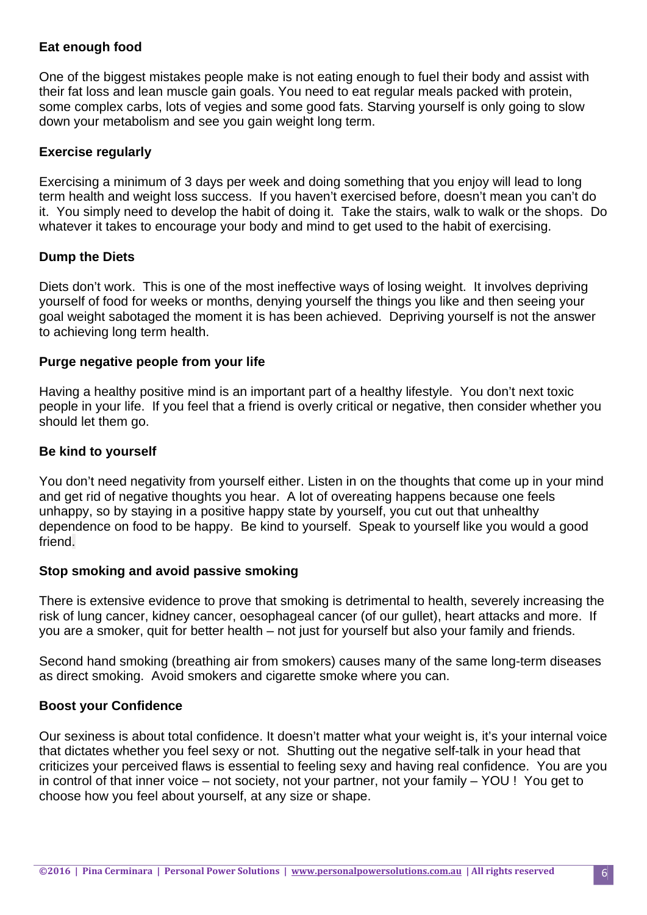#### **Eat enough food**

One of the biggest mistakes people make is not eating enough to fuel their body and assist with their fat loss and lean muscle gain goals. You need to eat regular meals packed with protein, some complex carbs, lots of vegies and some good fats. Starving yourself is only going to slow down your metabolism and see you gain weight long term.

#### **Exercise regularly**

Exercising a minimum of 3 days per week and doing something that you enjoy will lead to long term health and weight loss success. If you haven't exercised before, doesn't mean you can't do it. You simply need to develop the habit of doing it. Take the stairs, walk to walk or the shops. Do whatever it takes to encourage your body and mind to get used to the habit of exercising.

#### **Dump the Diets**

Diets don't work. This is one of the most ineffective ways of losing weight. It involves depriving yourself of food for weeks or months, denying yourself the things you like and then seeing your goal weight sabotaged the moment it is has been achieved. Depriving yourself is not the answer to achieving long term health.

#### **Purge negative people from your life**

Having a healthy positive mind is an important part of a healthy lifestyle. You don't next toxic people in your life. If you feel that a friend is overly critical or negative, then consider whether you should let them go.

#### **Be kind to yourself**

You don't need negativity from yourself either. Listen in on the thoughts that come up in your mind and get rid of negative thoughts you hear. A lot of overeating happens because one feels unhappy, so by staying in a positive happy state by yourself, you cut out that unhealthy dependence on food to be happy. Be kind to yourself. Speak to yourself like you would a good friend.

#### **Stop smoking and avoid passive smoking**

There is extensive evidence to prove that smoking is detrimental to health, severely increasing the risk of lung cancer, kidney cancer, oesophageal cancer (of our gullet), heart attacks and more. If you are a smoker, quit for better health – not just for yourself but also your family and friends.

Second hand smoking (breathing air from smokers) causes many of the same long-term diseases as direct smoking. Avoid smokers and cigarette smoke where you can.

#### **Boost your Confidence**

Our sexiness is about total confidence. It doesn't matter what your weight is, it's your internal voice that dictates whether you feel sexy or not. Shutting out the negative self-talk in your head that criticizes your perceived flaws is essential to feeling sexy and having real confidence. You are you in control of that inner voice – not society, not your partner, not your family – YOU ! You get to choose how you feel about yourself, at any size or shape.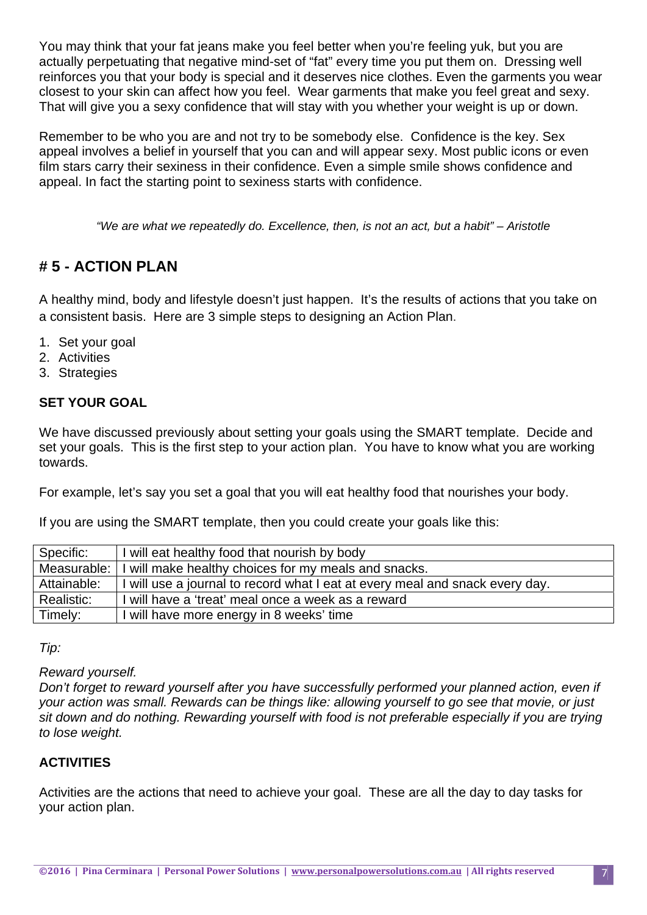You may think that your fat jeans make you feel better when you're feeling yuk, but you are actually perpetuating that negative mind-set of "fat" every time you put them on. Dressing well reinforces you that your body is special and it deserves nice clothes. Even the garments you wear closest to your skin can affect how you feel. Wear garments that make you feel great and sexy. That will give you a sexy confidence that will stay with you whether your weight is up or down.

Remember to be who you are and not try to be somebody else. Confidence is the key. Sex appeal involves a belief in yourself that you can and will appear sexy. Most public icons or even film stars carry their sexiness in their confidence. Even a simple smile shows confidence and appeal. In fact the starting point to sexiness starts with confidence.

*"We are what we repeatedly do. Excellence, then, is not an act, but a habit" – Aristotle* 

# **# 5 - ACTION PLAN**

A healthy mind, body and lifestyle doesn't just happen. It's the results of actions that you take on a consistent basis. Here are 3 simple steps to designing an Action Plan.

- 1. Set your goal
- 2. Activities
- 3. Strategies

## **SET YOUR GOAL**

We have discussed previously about setting your goals using the SMART template. Decide and set your goals. This is the first step to your action plan. You have to know what you are working towards.

For example, let's say you set a goal that you will eat healthy food that nourishes your body.

If you are using the SMART template, then you could create your goals like this:

| Specific:   | I will eat healthy food that nourish by body                                 |
|-------------|------------------------------------------------------------------------------|
|             | Measurable: I will make healthy choices for my meals and snacks.             |
| Attainable: | I will use a journal to record what I eat at every meal and snack every day. |
| Realistic:  | I will have a 'treat' meal once a week as a reward                           |
| Timely:     | I will have more energy in 8 weeks' time                                     |

*Tip:* 

*Reward yourself.* 

*Don't forget to reward yourself after you have successfully performed your planned action, even if your action was small. Rewards can be things like: allowing yourself to go see that movie, or just sit down and do nothing. Rewarding yourself with food is not preferable especially if you are trying to lose weight.* 

## **ACTIVITIES**

Activities are the actions that need to achieve your goal. These are all the day to day tasks for your action plan.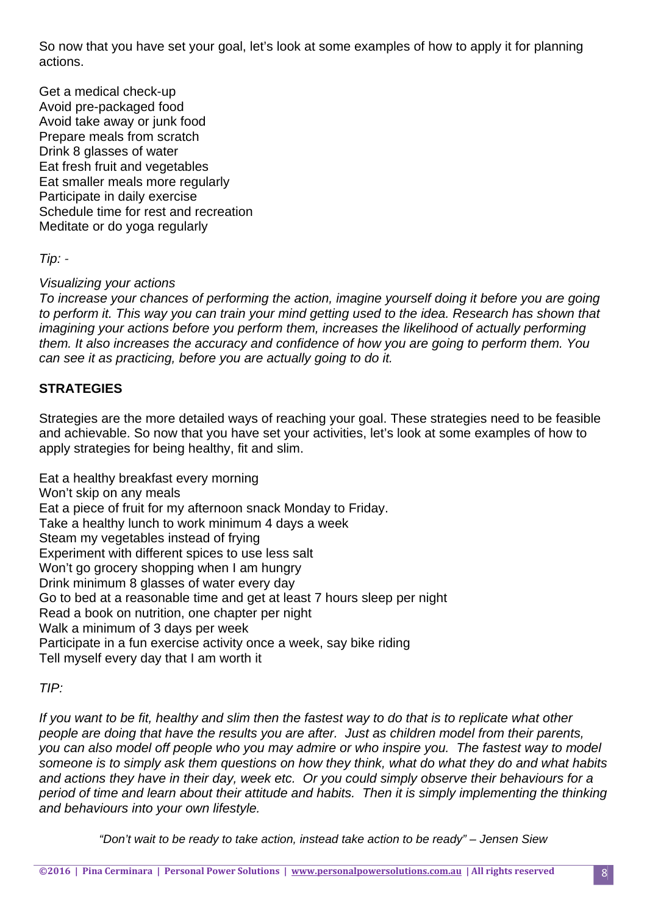So now that you have set your goal, let's look at some examples of how to apply it for planning actions.

Get a medical check-up Avoid pre-packaged food Avoid take away or junk food Prepare meals from scratch Drink 8 glasses of water Eat fresh fruit and vegetables Eat smaller meals more regularly Participate in daily exercise Schedule time for rest and recreation Meditate or do yoga regularly

*Tip: -* 

*Visualizing your actions* 

*To increase your chances of performing the action, imagine yourself doing it before you are going to perform it. This way you can train your mind getting used to the idea. Research has shown that imagining your actions before you perform them, increases the likelihood of actually performing them. It also increases the accuracy and confidence of how you are going to perform them. You can see it as practicing, before you are actually going to do it.* 

## **STRATEGIES**

Strategies are the more detailed ways of reaching your goal. These strategies need to be feasible and achievable. So now that you have set your activities, let's look at some examples of how to apply strategies for being healthy, fit and slim.

Eat a healthy breakfast every morning Won't skip on any meals Eat a piece of fruit for my afternoon snack Monday to Friday. Take a healthy lunch to work minimum 4 days a week Steam my vegetables instead of frying Experiment with different spices to use less salt Won't go grocery shopping when I am hungry Drink minimum 8 glasses of water every day Go to bed at a reasonable time and get at least 7 hours sleep per night Read a book on nutrition, one chapter per night Walk a minimum of 3 days per week Participate in a fun exercise activity once a week, say bike riding Tell myself every day that I am worth it

#### *TIP:*

*If you want to be fit, healthy and slim then the fastest way to do that is to replicate what other people are doing that have the results you are after. Just as children model from their parents, you can also model off people who you may admire or who inspire you. The fastest way to model someone is to simply ask them questions on how they think, what do what they do and what habits and actions they have in their day, week etc. Or you could simply observe their behaviours for a period of time and learn about their attitude and habits. Then it is simply implementing the thinking and behaviours into your own lifestyle.* 

*"Don't wait to be ready to take action, instead take action to be ready" – Jensen Siew*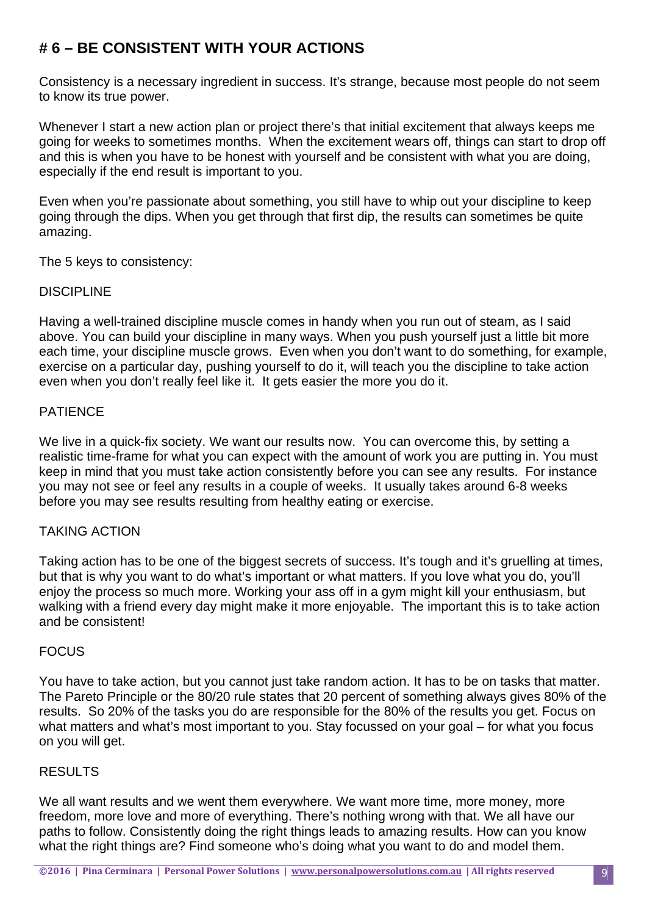# **# 6 – BE CONSISTENT WITH YOUR ACTIONS**

Consistency is a necessary ingredient in success. It's strange, because most people do not seem to know its true power.

Whenever I start a new action plan or project there's that initial excitement that always keeps me going for weeks to sometimes months. When the excitement wears off, things can start to drop off and this is when you have to be honest with yourself and be consistent with what you are doing, especially if the end result is important to you.

Even when you're passionate about something, you still have to whip out your discipline to keep going through the dips. When you get through that first dip, the results can sometimes be quite amazing.

The 5 keys to consistency:

#### **DISCIPLINE**

Having a well-trained discipline muscle comes in handy when you run out of steam, as I said above. You can build your discipline in many ways. When you push yourself just a little bit more each time, your discipline muscle grows. Even when you don't want to do something, for example, exercise on a particular day, pushing yourself to do it, will teach you the discipline to take action even when you don't really feel like it. It gets easier the more you do it.

## PATIENCE

We live in a quick-fix society. We want our results now. You can overcome this, by setting a realistic time-frame for what you can expect with the amount of work you are putting in. You must keep in mind that you must take action consistently before you can see any results. For instance you may not see or feel any results in a couple of weeks. It usually takes around 6-8 weeks before you may see results resulting from healthy eating or exercise.

#### TAKING ACTION

Taking action has to be one of the biggest secrets of success. It's tough and it's gruelling at times, but that is why you want to do what's important or what matters. If you love what you do, you'll enjoy the process so much more. Working your ass off in a gym might kill your enthusiasm, but walking with a friend every day might make it more enjoyable. The important this is to take action and be consistent!

#### **FOCUS**

You have to take action, but you cannot just take random action. It has to be on tasks that matter. The Pareto Principle or the 80/20 rule states that 20 percent of something always gives 80% of the results. So 20% of the tasks you do are responsible for the 80% of the results you get. Focus on what matters and what's most important to you. Stay focussed on your goal – for what you focus on you will get.

#### RESULTS

We all want results and we went them everywhere. We want more time, more money, more freedom, more love and more of everything. There's nothing wrong with that. We all have our paths to follow. Consistently doing the right things leads to amazing results. How can you know what the right things are? Find someone who's doing what you want to do and model them.